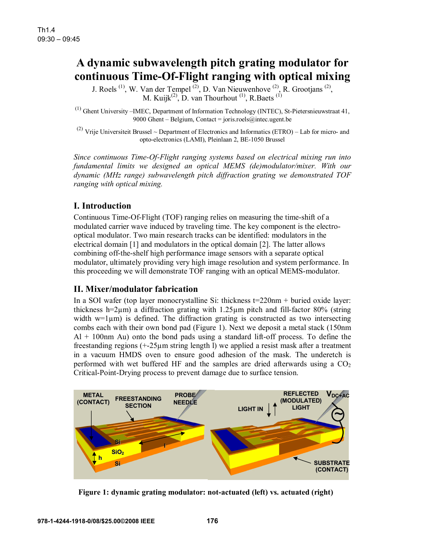# **A dynamic subwavelength pitch grating modulator for continuous Time-Of-Flight ranging with optical mixing**

J. Roels  $^{(1)}$ , W. Van der Tempel  $^{(2)}$ , D. Van Nieuwenhove  $^{(2)}$ , R. Grootjans  $^{(2)}$ , M. Kuijk<sup>(2)</sup>, D. van Thourhout<sup>(1)</sup>, R.Baets<sup>(1)</sup>

(1) Ghent University –IMEC, Department of Information Technology (INTEC), St-Pietersnieuwstraat 41, 9000 Ghent – Belgium, Contact = joris.roels@intec.ugent.be

<sup>(2)</sup> Vrije Universiteit Brussel ~ Department of Electronics and Informatics (ETRO) – Lab for micro- and opto-electronics (LAMI), Pleinlaan 2, BE-1050 Brussel

*Since continuous Time-Of-Flight ranging systems based on electrical mixing run into fundamental limits we designed an optical MEMS (de)modulator/mixer. With our dynamic (MHz range) subwavelength pitch diffraction grating we demonstrated TOF ranging with optical mixing.* 

## **I. Introduction**

Continuous Time-Of-Flight (TOF) ranging relies on measuring the time-shift of a modulated carrier wave induced by traveling time. The key component is the electrooptical modulator. Two main research tracks can be identified: modulators in the electrical domain [1] and modulators in the optical domain [2]. The latter allows combining off-the-shelf high performance image sensors with a separate optical modulator, ultimately providing very high image resolution and system performance. In this proceeding we will demonstrate TOF ranging with an optical MEMS-modulator.

#### **II. Mixer/modulator fabrication**

In a SOI wafer (top layer monocrystalline Si: thickness  $t=220$ nm + buried oxide layer: thickness h=2 $\mu$ m) a diffraction grating with 1.25 $\mu$ m pitch and fill-factor 80% (string width  $w=1\mu m$ ) is defined. The diffraction grating is constructed as two intersecting combs each with their own bond pad (Figure 1). Next we deposit a metal stack (150nm  $Al + 100$ nm Au) onto the bond pads using a standard lift-off process. To define the freestanding regions (+-25µm string length l) we applied a resist mask after a treatment in a vacuum HMDS oven to ensure good adhesion of the mask. The underetch is performed with wet buffered HF and the samples are dried afterwards using a  $CO<sub>2</sub>$ Critical-Point-Drying process to prevent damage due to surface tension.



**Figure 1: dynamic grating modulator: not-actuated (left) vs. actuated (right)**